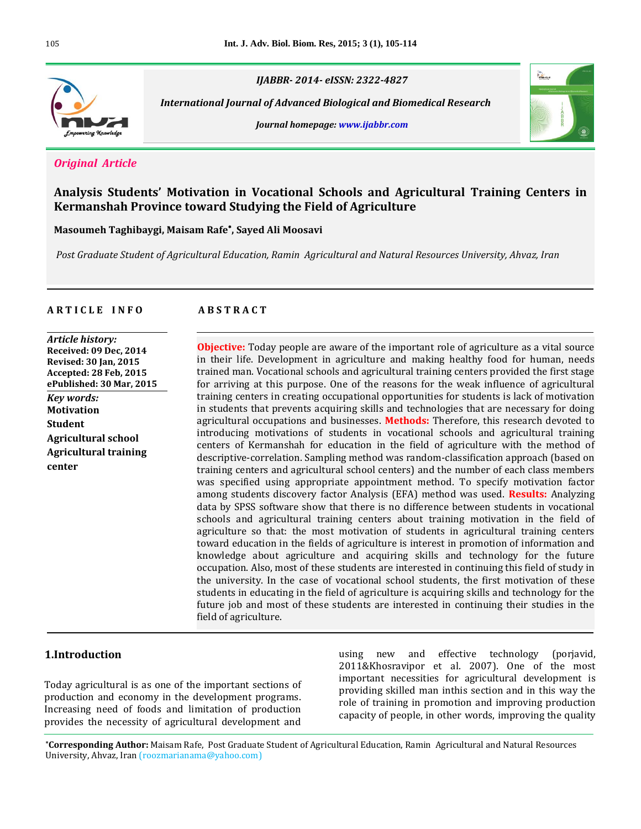

*IJABBR- 2014- eISSN: 2322-4827*

 *International Journal of Advanced Biological and Biomedical Research*

*Journal homepage: www.ijabbr.com*



## *Original Article*

# **Analysis Students' Motivation in Vocational Schools and Agricultural Training Centers in Kermanshah Province toward Studying the Field of Agriculture**

**Masoumeh Taghibaygi, Maisam Rafe , Sayed Ali Moosavi**

*Post Graduate Student of Agricultural Education, Ramin Agricultural and Natural Resources University, Ahvaz, Iran*

#### **A R T I C L E I N F O A B S T R A C T**

*Article history:* **Received: 09 Dec, 2014 Revised: 30 Jan, 2015 Accepted: 28 Feb, 2015 ePublished: 30 Mar, 2015** *Key words:* **Motivation Student Agricultural school Agricultural training center**

**Objective:** Today people are aware of the important role of agriculture as a vital source in their life. Development in agriculture and making healthy food for human, needs trained man. Vocational schools and agricultural training centers provided the first stage for arriving at this purpose. One of the reasons for the weak influence of agricultural training centers in creating occupational opportunities for students is lack of motivation in students that prevents acquiring skills and technologies that are necessary for doing agricultural occupations and businesses. **Methods:** Therefore, this research devoted to introducing motivations of students in vocational schools and agricultural training centers of Kermanshah for education in the field of agriculture with the method of descriptive-correlation. Sampling method was random-classification approach (based on training centers and agricultural school centers) and the number of each class members was specified using appropriate appointment method. To specify motivation factor among students discovery factor Analysis (EFA) method was used. **Results:** Analyzing data by SPSS software show that there is no difference between students in vocational schools and agricultural training centers about training motivation in the field of agriculture so that: the most motivation of students in agricultural training centers toward education in the fields of agriculture is interest in promotion of information and knowledge about agriculture and acquiring skills and technology for the future occupation. Also, most of these students are interested in continuing this field of study in the university. In the case of vocational school students, the first motivation of these students in educating in the field of agriculture is acquiring skills and technology for the future job and most of these students are interested in continuing their studies in the field of agriculture.

## **1.Introduction**

Today agricultural is as one of the important sections of production and economy in the development programs. Increasing need of foods and limitation of production provides the necessity of agricultural development and

using new and effective technology (porjavid, 2011&Khosravipor et al. 2007). One of the most important necessities for agricultural development is providing skilled man inthis section and in this way the role of training in promotion and improving production capacity of people, in other words, improving the quality

**\*Corresponding Author:** Maisam Rafe, Post Graduate Student of Agricultural Education, Ramin Agricultural and Natural Resources University, Ahvaz, Iran (roozmarianama@yahoo.com)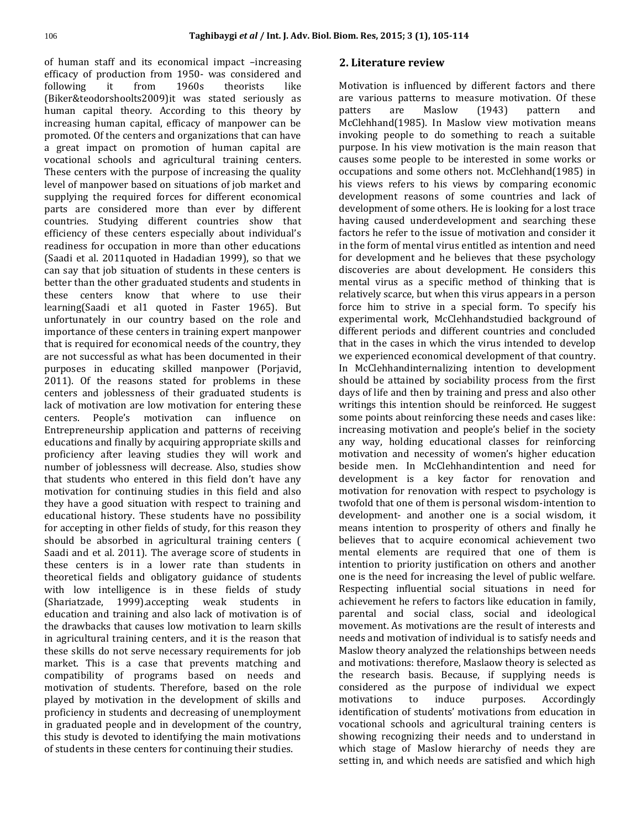of human staff and its economical impact –increasing efficacy of production from 1950- was considered and following it from 1960s theorists like (Biker&teodorshoolts2009)it was stated seriously as human capital theory. According to this theory by increasing human capital, efficacy of manpower can be promoted. Of the centers and organizations that can have a great impact on promotion of human capital are vocational schools and agricultural training centers. These centers with the purpose of increasing the quality level of manpower based on situations of job market and supplying the required forces for different economical parts are considered more than ever by different countries. Studying different countries show that efficiency of these centers especially about individual's readiness for occupation in more than other educations (Saadi et al. 2011quoted in Hadadian 1999), so that we can say that job situation of students in these centers is better than the other graduated students and students in these centers know that where to use their learning(Saadi et al1 quoted in Faster 1965). But unfortunately in our country based on the role and importance of these centers in training expert manpower that is required for economical needs of the country, they are not successful as what has been documented in their purposes in educating skilled manpower (Porjavid, 2011). Of the reasons stated for problems in these centers and joblessness of their graduated students is lack of motivation are low motivation for entering these centers. People's motivation can influence on Entrepreneurship application and patterns of receiving educations and finally by acquiring appropriate skills and proficiency after leaving studies they will work and number of joblessness will decrease. Also, studies show that students who entered in this field don't have any motivation for continuing studies in this field and also they have a good situation with respect to training and educational history. These students have no possibility for accepting in other fields of study, for this reason they should be absorbed in agricultural training centers ( Saadi and et al. 2011). The average score of students in these centers is in a lower rate than students in theoretical fields and obligatory guidance of students with low intelligence is in these fields of study (Shariatzade, 1999).accepting weak students in education and training and also lack of motivation is of the drawbacks that causes low motivation to learn skills in agricultural training centers, and it is the reason that these skills do not serve necessary requirements for job market. This is a case that prevents matching and compatibility of programs based on needs and motivation of students. Therefore, based on the role played by motivation in the development of skills and proficiency in students and decreasing of unemployment in graduated people and in development of the country, this study is devoted to identifying the main motivations of students in these centers for continuing their studies.

## **2. Literature review**

Motivation is influenced by different factors and there are various patterns to measure motivation. Of these patters are Maslow (1943) pattern and McClehhand(1985). In Maslow view motivation means invoking people to do something to reach a suitable purpose. In his view motivation is the main reason that causes some people to be interested in some works or occupations and some others not. McClehhand(1985) in his views refers to his views by comparing economic development reasons of some countries and lack of development of some others. He is looking for a lost trace having caused underdevelopment and searching these factors he refer to the issue of motivation and consider it in the form of mental virus entitled as intention and need for development and he believes that these psychology discoveries are about development. He considers this mental virus as a specific method of thinking that is relatively scarce, but when this virus appears in a person force him to strive in a special form. To specify his experimental work, McClehhandstudied background of different periods and different countries and concluded that in the cases in which the virus intended to develop we experienced economical development of that country. In McClehhandinternalizing intention to development should be attained by sociability process from the first days of life and then by training and press and also other writings this intention should be reinforced. He suggest some points about reinforcing these needs and cases like: increasing motivation and people's belief in the society any way, holding educational classes for reinforcing motivation and necessity of women's higher education beside men. In McClehhandintention and need for development is a key factor for renovation and motivation for renovation with respect to psychology is twofold that one of them is personal wisdom-intention to development- and another one is a social wisdom, it means intention to prosperity of others and finally he believes that to acquire economical achievement two mental elements are required that one of them is intention to priority justification on others and another one is the need for increasing the level of public welfare. Respecting influential social situations in need for achievement he refers to factors like education in family, parental and social class, social and ideological movement. As motivations are the result of interests and needs and motivation of individual is to satisfy needs and Maslow theory analyzed the relationships between needs and motivations: therefore, Maslaow theory is selected as the research basis. Because, if supplying needs is considered as the purpose of individual we expect motivations to induce purposes. Accordingly identification of students' motivations from education in vocational schools and agricultural training centers is showing recognizing their needs and to understand in which stage of Maslow hierarchy of needs they are setting in, and which needs are satisfied and which high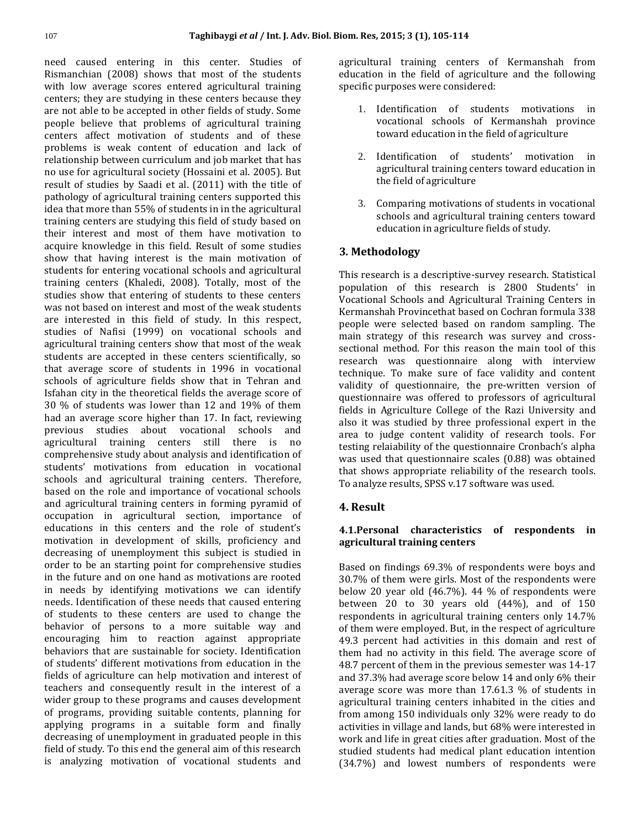need caused entering in this center. Studies of Rismanchian (2008) shows that most of the students with low average scores entered agricultural training centers; they are studying in these centers because they are not able to be accepted in other fields of study. Some people believe that problems of agricultural training centers affect motivation of students and of these problems is weak content of education and lack of relationship between curriculum and job market that has no use for agricultural society (Hossaini et al. 2005). But result of studies by Saadi et al. (2011) with the title of pathology of agricultural training centers supported this idea that more than 55% of students in in the agricultural training centers are studying this field of study based on their interest and most of them have motivation to acquire knowledge in this field. Result of some studies show that having interest is the main motivation of students for entering vocational schools and agricultural training centers (Khaledi, 2008). Totally, most of the studies show that entering of students to these centers was not based on interest and most of the weak students are interested in this field of study. In this respect, studies of Nafisi (1999) on vocational schools and agricultural training centers show that most of the weak students are accepted in these centers scientifically, so that average score of students in 1996 in vocational schools of agriculture fields show that in Tehran and Isfahan city in the theoretical fields the average score of 30 % of students was lower than 12 and 19% of them had an average score higher than 17. In fact, reviewing previous studies about vocational schools and agricultural training centers still there is no comprehensive study about analysis and identification of students' motivations from education in vocational schools and agricultural training centers. Therefore, based on the role and importance of vocational schools and agricultural training centers in forming pyramid of occupation in agricultural section, importance of educations in this centers and the role of student's motivation in development of skills, proficiency and decreasing of unemployment this subject is studied in order to be an starting point for comprehensive studies in the future and on one hand as motivations are rooted in needs by identifying motivations we can identify needs. Identification of these needs that caused entering of students to these centers are used to change the behavior of persons to a more suitable way and encouraging him to reaction against appropriate behaviors that are sustainable for society. Identification of students' different motivations from education in the fields of agriculture can help motivation and interest of teachers and consequently result in the interest of a wider group to these programs and causes development of programs, providing suitable contents, planning for applying programs in a suitable form and finally decreasing of unemployment in graduated people in this field of study. To this end the general aim of this research is analyzing motivation of vocational students and

agricultural training centers of Kermanshah from education in the field of agriculture and the following specific purposes were considered:

- 1. Identification of students motivations in vocational schools of Kermanshah province toward education in the field of agriculture
- 2. Identification of students' motivation in agricultural training centers toward education in the field of agriculture
- 3. Comparing motivations of students in vocational schools and agricultural training centers toward education in agriculture fields of study.

# **3***.* **Methodology**

This research is a descriptive-survey research. Statistical population of this research is 2800 Students' in Vocational Schools and Agricultural Training Centers in Kermanshah Provincethat based on Cochran formula 338 people were selected based on random sampling. The main strategy of this research was survey and crosssectional method. For this reason the main tool of this research was questionnaire along with interview technique. To make sure of face validity and content validity of questionnaire, the pre-written version of questionnaire was offered to professors of agricultural fields in Agriculture College of the Razi University and also it was studied by three professional expert in the area to judge content validity of research tools. For testing relaiability of the questionnaire Cronbach's alpha was used that questionnaire scales (0.88) was obtained that shows appropriate reliability of the research tools. To analyze results, SPSS v.17 software was used.

# **4. Result**

## **4.1.Personal characteristics of respondents in agricultural training centers**

Based on findings 69.3% of respondents were boys and 30.7% of them were girls. Most of the respondents were below 20 year old (46.7%). 44 % of respondents were between 20 to 30 years old (44%), and of 150 respondents in agricultural training centers only 14.7% of them were employed. But, in the respect of agriculture 49.3 percent had activities in this domain and rest of them had no activity in this field. The average score of 48.7 percent of them in the previous semester was 14-17 and 37.3% had average score below 14 and only 6% their average score was more than 17.61.3 % of students in agricultural training centers inhabited in the cities and from among 150 individuals only 32% were ready to do activities in village and lands, but 68% were interested in work and life in great cities after graduation. Most of the studied students had medical plant education intention (34.7%) and lowest numbers of respondents were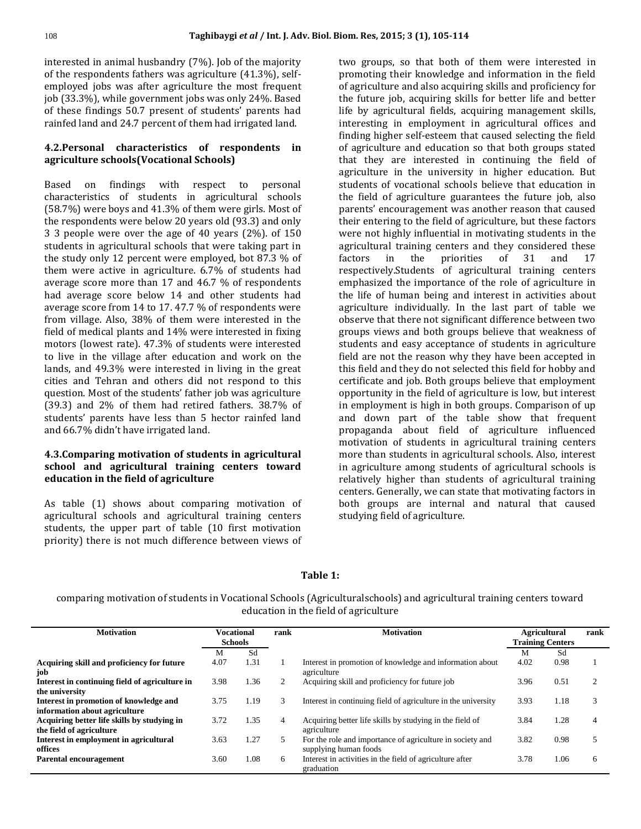$\overline{a}$ 

interested in animal husbandry (7%). Job of the majority of the respondents fathers was agriculture (41.3%), selfemployed jobs was after agriculture the most frequent job (33.3%), while government jobs was only 24%. Based of these findings 50.7 present of students' parents had rainfed land and 24.7 percent of them had irrigated land.

## **4.2.Personal characteristics of respondents in agriculture schools(Vocational Schools)**

Based on findings with respect to personal characteristics of students in agricultural schools (58.7%) were boys and 41.3% of them were girls. Most of the respondents were below 20 years old (93.3) and only 3 3 people were over the age of 40 years (2%). of 150 students in agricultural schools that were taking part in the study only 12 percent were employed, bot 87.3 % of them were active in agriculture. 6.7% of students had average score more than 17 and 46.7 % of respondents had average score below 14 and other students had average score from 14 to 17. 47.7 % of respondents were from village. Also, 38% of them were interested in the field of medical plants and 14% were interested in fixing motors (lowest rate). 47.3% of students were interested to live in the village after education and work on the lands, and 49.3% were interested in living in the great cities and Tehran and others did not respond to this question. Most of the students' father job was agriculture (39.3) and 2% of them had retired fathers. 38.7% of students' parents have less than 5 hector rainfed land and 66.7% didn't have irrigated land.

## **4.3.Comparing motivation of students in agricultural school and agricultural training centers toward education in the field of agriculture**

As table (1) shows about comparing motivation of agricultural schools and agricultural training centers students, the upper part of table (10 first motivation priority) there is not much difference between views of

two groups, so that both of them were interested in promoting their knowledge and information in the field of agriculture and also acquiring skills and proficiency for the future job, acquiring skills for better life and better life by agricultural fields, acquiring management skills, interesting in employment in agricultural offices and finding higher self-esteem that caused selecting the field of agriculture and education so that both groups stated that they are interested in continuing the field of agriculture in the university in higher education. But students of vocational schools believe that education in the field of agriculture guarantees the future job, also parents' encouragement was another reason that caused their entering to the field of agriculture, but these factors were not highly influential in motivating students in the agricultural training centers and they considered these factors in the priorities of 31 and 17 respectively.Students of agricultural training centers emphasized the importance of the role of agriculture in the life of human being and interest in activities about agriculture individually. In the last part of table we observe that there not significant difference between two groups views and both groups believe that weakness of students and easy acceptance of students in agriculture field are not the reason why they have been accepted in this field and they do not selected this field for hobby and certificate and job. Both groups believe that employment opportunity in the field of agriculture is low, but interest in employment is high in both groups. Comparison of up and down part of the table show that frequent propaganda about field of agriculture influenced motivation of students in agricultural training centers more than students in agricultural schools. Also, interest in agriculture among students of agricultural schools is relatively higher than students of agricultural training centers. Generally, we can state that motivating factors in both groups are internal and natural that caused studying field of agriculture.

## **Table 1:**

comparing motivation of students in Vocational Schools (Agriculturalschools) and agricultural training centers toward education in the field of agriculture

| <b>Motivation</b>                                                       | <b>Vocational</b><br><b>Schools</b> |      | rank | <b>Motivation</b>                                                                  | <b>Agricultural</b><br><b>Training Centers</b> |      | rank |
|-------------------------------------------------------------------------|-------------------------------------|------|------|------------------------------------------------------------------------------------|------------------------------------------------|------|------|
|                                                                         | М                                   | Sd   |      |                                                                                    | M                                              | Sd   |      |
| Acquiring skill and proficiency for future<br>job                       | 4.07                                | 1.31 |      | Interest in promotion of knowledge and information about<br>agriculture            | 4.02                                           | 0.98 |      |
| Interest in continuing field of agriculture in<br>the university        | 3.98                                | .36  | 2    | Acquiring skill and proficiency for future job                                     | 3.96                                           | 0.51 |      |
| Interest in promotion of knowledge and<br>information about agriculture | 3.75                                | 1.19 | 3    | Interest in continuing field of agriculture in the university                      | 3.93                                           | 1.18 |      |
| Acquiring better life skills by studying in<br>the field of agriculture | 3.72                                | 1.35 | 4    | Acquiring better life skills by studying in the field of<br>agriculture            | 3.84                                           | 1.28 | 4    |
| Interest in employment in agricultural<br>offices                       | 3.63                                | 1.27 | 5.   | For the role and importance of agriculture in society and<br>supplying human foods | 3.82                                           | 0.98 |      |
| Parental encouragement                                                  | 3.60                                | 1.08 | 6    | Interest in activities in the field of agriculture after<br>graduation             | 3.78                                           | 1.06 | 6    |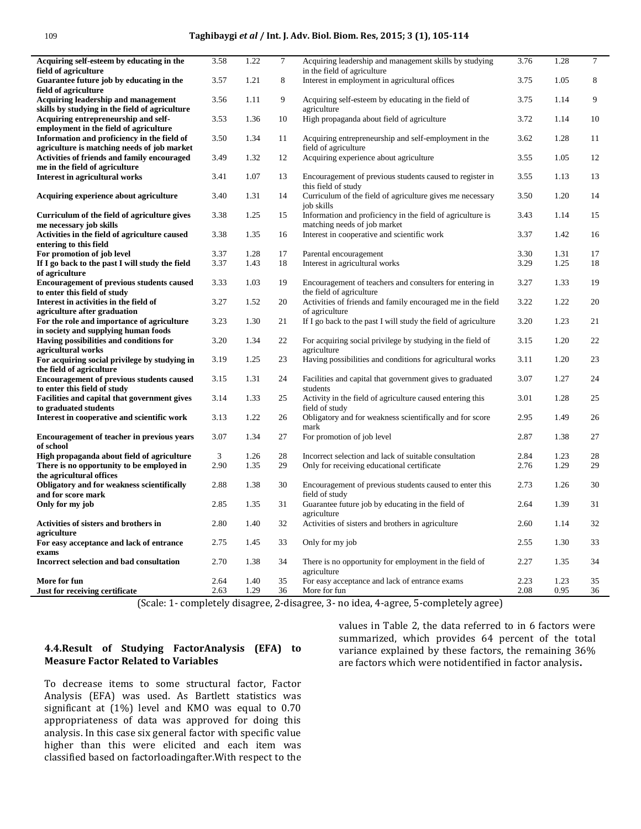#### 109 **Taghibaygi** *et al* **/ Int. J. Adv. Biol. Biom. Res, 2015; 3 (1), 105-114**

| Acquiring self-esteem by educating in the                                                    | 3.58 | 1.22 | $\tau$ | Acquiring leadership and management skills by studying                                     | 3.76 | 1.28 | $\overline{7}$ |
|----------------------------------------------------------------------------------------------|------|------|--------|--------------------------------------------------------------------------------------------|------|------|----------------|
| field of agriculture                                                                         |      |      |        | in the field of agriculture                                                                |      |      |                |
| Guarantee future job by educating in the<br>field of agriculture                             | 3.57 | 1.21 | 8      | Interest in employment in agricultural offices                                             | 3.75 | 1.05 | 8              |
| Acquiring leadership and management                                                          | 3.56 | 1.11 | 9      | Acquiring self-esteem by educating in the field of                                         | 3.75 | 1.14 | 9              |
| skills by studying in the field of agriculture                                               |      |      |        | agriculture                                                                                |      |      |                |
| Acquiring entrepreneurship and self-<br>employment in the field of agriculture               | 3.53 | 1.36 | 10     | High propaganda about field of agriculture                                                 | 3.72 | 1.14 | 10             |
|                                                                                              |      |      |        |                                                                                            |      |      |                |
| Information and proficiency in the field of                                                  | 3.50 | 1.34 | 11     | Acquiring entrepreneurship and self-employment in the                                      | 3.62 | 1.28 | 11             |
| agriculture is matching needs of job market                                                  |      |      |        | field of agriculture                                                                       |      |      |                |
| Activities of friends and family encouraged                                                  | 3.49 | 1.32 | 12     | Acquiring experience about agriculture                                                     | 3.55 | 1.05 | 12             |
| me in the field of agriculture                                                               |      |      |        |                                                                                            |      |      |                |
| Interest in agricultural works                                                               | 3.41 | 1.07 | 13     | Encouragement of previous students caused to register in<br>this field of study            | 3.55 | 1.13 | 13             |
| Acquiring experience about agriculture                                                       | 3.40 | 1.31 | 14     | Curriculum of the field of agriculture gives me necessary<br>job skills                    | 3.50 | 1.20 | 14             |
| Curriculum of the field of agriculture gives<br>me necessary job skills                      | 3.38 | 1.25 | 15     | Information and proficiency in the field of agriculture is<br>matching needs of job market | 3.43 | 1.14 | 15             |
|                                                                                              | 3.38 | 1.35 | 16     |                                                                                            | 3.37 | 1.42 |                |
| Activities in the field of agriculture caused<br>entering to this field                      |      |      |        | Interest in cooperative and scientific work                                                |      |      | 16             |
|                                                                                              |      | 1.28 |        |                                                                                            | 3.30 | 1.31 | 17             |
| For promotion of job level                                                                   | 3.37 |      | 17     | Parental encouragement                                                                     |      |      |                |
| If I go back to the past I will study the field<br>of agriculture                            | 3.37 | 1.43 | 18     | Interest in agricultural works                                                             | 3.29 | 1.25 | 18             |
| <b>Encouragement of previous students caused</b>                                             | 3.33 | 1.03 | 19     | Encouragement of teachers and consulters for entering in                                   | 3.27 | 1.33 | 19             |
| to enter this field of study                                                                 | 3.27 | 1.52 | 20     | the field of agriculture                                                                   | 3.22 | 1.22 | 20             |
| Interest in activities in the field of                                                       |      |      |        | Activities of friends and family encouraged me in the field                                |      |      |                |
| agriculture after graduation                                                                 |      |      |        | of agriculture                                                                             |      |      |                |
| For the role and importance of agriculture                                                   | 3.23 | 1.30 | 21     | If I go back to the past I will study the field of agriculture                             | 3.20 | 1.23 | 21             |
| in society and supplying human foods                                                         | 3.20 | 1.34 | 22     |                                                                                            | 3.15 | 1.20 | 22             |
| Having possibilities and conditions for                                                      |      |      |        | For acquiring social privilege by studying in the field of                                 |      |      |                |
| agricultural works                                                                           | 3.19 | 1.25 | 23     | agriculture<br>Having possibilities and conditions for agricultural works                  | 3.11 | 1.20 | 23             |
| For acquiring social privilege by studying in<br>the field of agriculture                    |      |      |        |                                                                                            |      |      |                |
| <b>Encouragement of previous students caused</b><br>to enter this field of study             | 3.15 | 1.31 | 24     | Facilities and capital that government gives to graduated<br>students                      | 3.07 | 1.27 | 24             |
| Facilities and capital that government gives                                                 | 3.14 | 1.33 | 25     | Activity in the field of agriculture caused entering this                                  | 3.01 | 1.28 | 25             |
| to graduated students                                                                        |      |      |        | field of study                                                                             |      |      |                |
| Interest in cooperative and scientific work                                                  | 3.13 | 1.22 | 26     | Obligatory and for weakness scientifically and for score<br>mark                           | 2.95 | 1.49 | 26             |
| Encouragement of teacher in previous years<br>of school                                      | 3.07 | 1.34 | 27     | For promotion of job level                                                                 | 2.87 | 1.38 | 27             |
| High propaganda about field of agriculture                                                   | 3    | 1.26 | 28     | Incorrect selection and lack of suitable consultation                                      | 2.84 | 1.23 | 28             |
| There is no opportunity to be employed in                                                    | 2.90 | 1.35 | 29     | Only for receiving educational certificate                                                 | 2.76 | 1.29 | 29             |
| the agricultural offices<br>Obligatory and for weakness scientifically<br>and for score mark | 2.88 | 1.38 | 30     | Encouragement of previous students caused to enter this<br>field of study                  | 2.73 | 1.26 | 30             |
| Only for my job                                                                              | 2.85 | 1.35 | 31     | Guarantee future job by educating in the field of<br>agriculture                           | 2.64 | 1.39 | 31             |
| Activities of sisters and brothers in                                                        | 2.80 | 1.40 | 32     | Activities of sisters and brothers in agriculture                                          | 2.60 | 1.14 | 32             |
| agriculture<br>For easy acceptance and lack of entrance                                      | 2.75 | 1.45 | 33     | Only for my job                                                                            | 2.55 | 1.30 | 33             |
| exams                                                                                        |      |      |        |                                                                                            |      |      |                |
| Incorrect selection and bad consultation                                                     | 2.70 | 1.38 | 34     | There is no opportunity for employment in the field of<br>agriculture                      | 2.27 | 1.35 | 34             |
| More for fun                                                                                 | 2.64 | 1.40 | 35     | For easy acceptance and lack of entrance exams                                             | 2.23 | 1.23 | 35             |
| Just for receiving certificate                                                               | 2.63 | 1.29 | 36     | More for fun                                                                               | 2.08 | 0.95 | 36             |

(Scale: 1- completely disagree, 2-disagree, 3- no idea, 4-agree, 5-completely agree)

#### **4.4.Result of Studying FactorAnalysis (EFA) to Measure Factor Related to Variables**

To decrease items to some structural factor, Factor Analysis (EFA) was used. As Bartlett statistics was significant at (1%) level and KMO was equal to 0.70 appropriateness of data was approved for doing this analysis. In this case six general factor with specific value higher than this were elicited and each item was classified based on factorloadingafter.With respect to the values in Table 2, the data referred to in 6 factors were summarized, which provides 64 percent of the total variance explained by these factors, the remaining 36% are factors which were notidentified in factor analysis**.**

 $\overline{\phantom{a}}$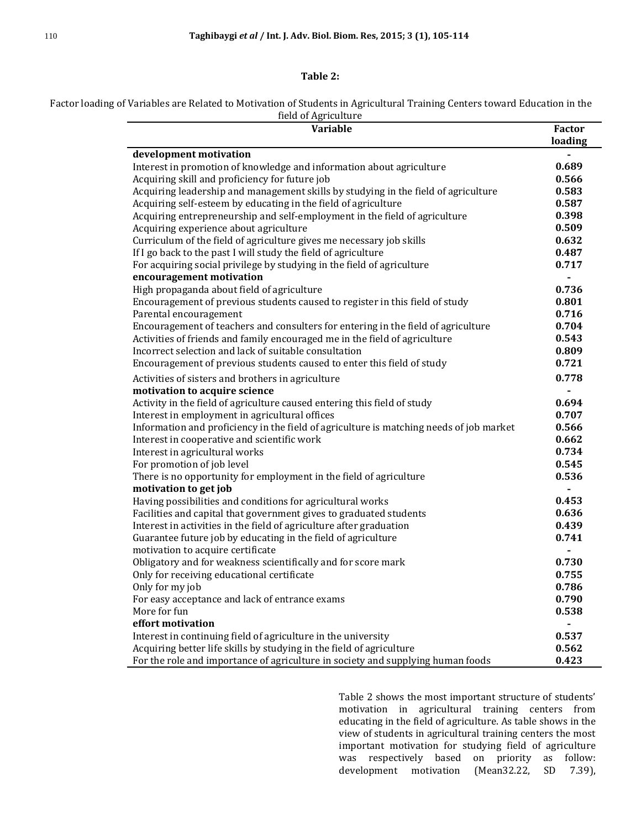## **Table 2:**

Factor loading of Variables are Related to Motivation of Students in Agricultural Training Centers toward Education in the field of Agriculture

| <b>Variable</b>                                                                             | <b>Factor</b><br>loading     |
|---------------------------------------------------------------------------------------------|------------------------------|
| development motivation                                                                      |                              |
| Interest in promotion of knowledge and information about agriculture                        | 0.689                        |
| Acquiring skill and proficiency for future job                                              | 0.566                        |
| Acquiring leadership and management skills by studying in the field of agriculture          | 0.583                        |
| Acquiring self-esteem by educating in the field of agriculture                              | 0.587                        |
| Acquiring entrepreneurship and self-employment in the field of agriculture                  | 0.398                        |
| Acquiring experience about agriculture                                                      | 0.509                        |
| Curriculum of the field of agriculture gives me necessary job skills                        | 0.632                        |
| If I go back to the past I will study the field of agriculture                              | 0.487                        |
| For acquiring social privilege by studying in the field of agriculture                      | 0.717                        |
| encouragement motivation                                                                    | $\overline{\phantom{0}}$     |
| High propaganda about field of agriculture                                                  | 0.736                        |
| Encouragement of previous students caused to register in this field of study                | 0.801                        |
| Parental encouragement                                                                      | 0.716                        |
| Encouragement of teachers and consulters for entering in the field of agriculture           | 0.704                        |
| Activities of friends and family encouraged me in the field of agriculture                  | 0.543                        |
| Incorrect selection and lack of suitable consultation                                       | 0.809                        |
| Encouragement of previous students caused to enter this field of study                      | 0.721                        |
| Activities of sisters and brothers in agriculture                                           | 0.778                        |
| motivation to acquire science                                                               | $\qquad \qquad \blacksquare$ |
| Activity in the field of agriculture caused entering this field of study                    | 0.694                        |
| Interest in employment in agricultural offices                                              | 0.707                        |
| Information and proficiency in the field of agriculture is matching needs of job market     | 0.566                        |
| Interest in cooperative and scientific work                                                 | 0.662                        |
| Interest in agricultural works                                                              | 0.734                        |
| For promotion of job level                                                                  | 0.545                        |
| There is no opportunity for employment in the field of agriculture<br>motivation to get job | 0.536<br>$\overline{a}$      |
| Having possibilities and conditions for agricultural works                                  | 0.453                        |
| Facilities and capital that government gives to graduated students                          | 0.636                        |
| Interest in activities in the field of agriculture after graduation                         | 0.439                        |
| Guarantee future job by educating in the field of agriculture                               | 0.741                        |
| motivation to acquire certificate                                                           | $\overline{\phantom{0}}$     |
| Obligatory and for weakness scientifically and for score mark                               | 0.730                        |
| Only for receiving educational certificate                                                  | 0.755                        |
| Only for my job                                                                             | 0.786                        |
| For easy acceptance and lack of entrance exams                                              | 0.790                        |
| More for fun                                                                                | 0.538                        |
| effort motivation                                                                           |                              |
| Interest in continuing field of agriculture in the university                               | 0.537                        |
| Acquiring better life skills by studying in the field of agriculture                        | 0.562                        |
| For the role and importance of agriculture in society and supplying human foods             | 0.423                        |

Table 2 shows the most important structure of students' motivation in agricultural training centers from educating in the field of agriculture. As table shows in the view of students in agricultural training centers the most important motivation for studying field of agriculture was respectively based on priority as follow: development motivation (Mean32.22, SD 7.39),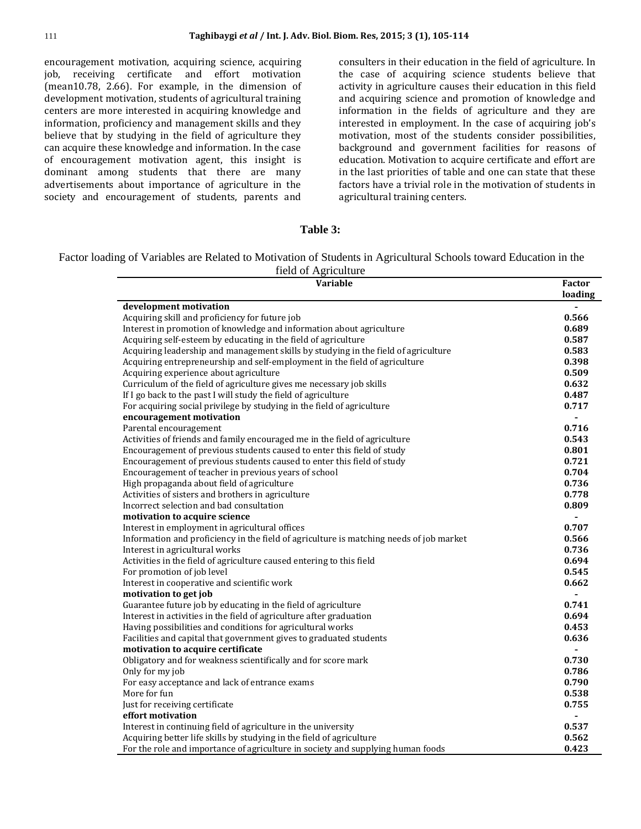encouragement motivation, acquiring science, acquiring job, receiving certificate and effort motivation (mean10.78, 2.66). For example, in the dimension of development motivation, students of agricultural training centers are more interested in acquiring knowledge and information, proficiency and management skills and they believe that by studying in the field of agriculture they can acquire these knowledge and information. In the case of encouragement motivation agent, this insight is dominant among students that there are many advertisements about importance of agriculture in the society and encouragement of students, parents and

consulters in their education in the field of agriculture. In the case of acquiring science students believe that activity in agriculture causes their education in this field and acquiring science and promotion of knowledge and information in the fields of agriculture and they are interested in employment. In the case of acquiring job's motivation, most of the students consider possibilities, background and government facilities for reasons of education. Motivation to acquire certificate and effort are in the last priorities of table and one can state that these factors have a trivial role in the motivation of students in agricultural training centers.

#### **Table 3:**

Factor loading of Variables are Related to Motivation of Students in Agricultural Schools toward Education in the field of Agriculture

| Variable                                                                                | <b>Factor</b><br>loading |
|-----------------------------------------------------------------------------------------|--------------------------|
| development motivation                                                                  |                          |
| Acquiring skill and proficiency for future job                                          | 0.566                    |
| Interest in promotion of knowledge and information about agriculture                    | 0.689                    |
| Acquiring self-esteem by educating in the field of agriculture                          | 0.587                    |
| Acquiring leadership and management skills by studying in the field of agriculture      | 0.583                    |
| Acquiring entrepreneurship and self-employment in the field of agriculture              | 0.398                    |
| Acquiring experience about agriculture                                                  | 0.509                    |
| Curriculum of the field of agriculture gives me necessary job skills                    | 0.632                    |
| If I go back to the past I will study the field of agriculture                          | 0.487                    |
| For acquiring social privilege by studying in the field of agriculture                  | 0.717                    |
| encouragement motivation                                                                |                          |
| Parental encouragement                                                                  | 0.716                    |
| Activities of friends and family encouraged me in the field of agriculture              | 0.543                    |
| Encouragement of previous students caused to enter this field of study                  | 0.801                    |
| Encouragement of previous students caused to enter this field of study                  | 0.721                    |
| Encouragement of teacher in previous years of school                                    | 0.704                    |
| High propaganda about field of agriculture                                              | 0.736                    |
| Activities of sisters and brothers in agriculture                                       | 0.778                    |
| Incorrect selection and bad consultation                                                | 0.809                    |
| motivation to acquire science                                                           |                          |
| Interest in employment in agricultural offices                                          | 0.707                    |
| Information and proficiency in the field of agriculture is matching needs of job market | 0.566                    |
| Interest in agricultural works                                                          | 0.736                    |
| Activities in the field of agriculture caused entering to this field                    | 0.694                    |
| For promotion of job level                                                              | 0.545                    |
| Interest in cooperative and scientific work                                             | 0.662                    |
| motivation to get job                                                                   | $\overline{a}$           |
| Guarantee future job by educating in the field of agriculture                           | 0.741                    |
| Interest in activities in the field of agriculture after graduation                     | 0.694                    |
| Having possibilities and conditions for agricultural works                              | 0.453                    |
| Facilities and capital that government gives to graduated students                      | 0.636                    |
| motivation to acquire certificate                                                       |                          |
| Obligatory and for weakness scientifically and for score mark                           | 0.730                    |
| Only for my job                                                                         | 0.786                    |
| For easy acceptance and lack of entrance exams                                          | 0.790                    |
| More for fun                                                                            | 0.538                    |
| Just for receiving certificate                                                          | 0.755                    |
| effort motivation                                                                       |                          |
| Interest in continuing field of agriculture in the university                           | 0.537                    |
| Acquiring better life skills by studying in the field of agriculture                    | 0.562                    |
| For the role and importance of agriculture in society and supplying human foods         | 0.423                    |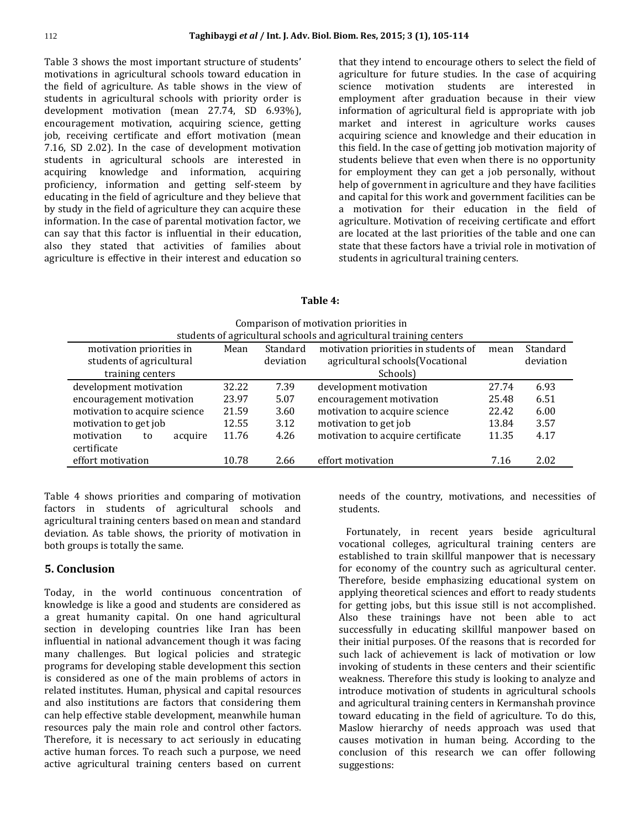Table 3 shows the most important structure of students' motivations in agricultural schools toward education in the field of agriculture. As table shows in the view of students in agricultural schools with priority order is development motivation (mean 27.74, SD 6.93%), encouragement motivation, acquiring science, getting job, receiving certificate and effort motivation (mean 7.16, SD 2.02). In the case of development motivation students in agricultural schools are interested in acquiring knowledge and information, acquiring proficiency, information and getting self-steem by educating in the field of agriculture and they believe that by study in the field of agriculture they can acquire these information. In the case of parental motivation factor, we can say that this factor is influential in their education, also they stated that activities of families about agriculture is effective in their interest and education so

that they intend to encourage others to select the field of agriculture for future studies. In the case of acquiring science motivation students are interested in employment after graduation because in their view information of agricultural field is appropriate with job market and interest in agriculture works causes acquiring science and knowledge and their education in this field. In the case of getting job motivation majority of students believe that even when there is no opportunity for employment they can get a job personally, without help of government in agriculture and they have facilities and capital for this work and government facilities can be a motivation for their education in the field of agriculture. Motivation of receiving certificate and effort are located at the last priorities of the table and one can state that these factors have a trivial role in motivation of students in agricultural training centers.

## **Table 4:**

| somparison or motivation priorities in                             |       |           |                                      |       |           |  |  |
|--------------------------------------------------------------------|-------|-----------|--------------------------------------|-------|-----------|--|--|
| students of agricultural schools and agricultural training centers |       |           |                                      |       |           |  |  |
| motivation priorities in                                           | Mean  | Standard  | motivation priorities in students of | mean  | Standard  |  |  |
| students of agricultural                                           |       | deviation | agricultural schools(Vocational      |       | deviation |  |  |
| training centers                                                   |       |           | Schools)                             |       |           |  |  |
| development motivation                                             | 32.22 | 7.39      | development motivation               | 27.74 | 6.93      |  |  |
| encouragement motivation                                           | 23.97 | 5.07      | encouragement motivation             | 25.48 | 6.51      |  |  |
| motivation to acquire science                                      | 21.59 | 3.60      | motivation to acquire science        | 22.42 | 6.00      |  |  |
| motivation to get job                                              | 12.55 | 3.12      | motivation to get job                | 13.84 | 3.57      |  |  |
| motivation<br>acquire<br>to                                        | 11.76 | 4.26      | motivation to acquire certificate    | 11.35 | 4.17      |  |  |
| certificate                                                        |       |           |                                      |       |           |  |  |
| effort motivation                                                  | 10.78 | 2.66      | effort motivation                    | 7.16  | 2.02      |  |  |
|                                                                    |       |           |                                      |       |           |  |  |

Comparison of motivation priorities in

Table 4 shows priorities and comparing of motivation factors in students of agricultural schools and agricultural training centers based on mean and standard deviation. As table shows, the priority of motivation in both groups is totally the same.

## **5. Conclusion**

Today, in the world continuous concentration of knowledge is like a good and students are considered as a great humanity capital. On one hand agricultural section in developing countries like Iran has been influential in national advancement though it was facing many challenges. But logical policies and strategic programs for developing stable development this section is considered as one of the main problems of actors in related institutes. Human, physical and capital resources and also institutions are factors that considering them can help effective stable development, meanwhile human resources paly the main role and control other factors. Therefore, it is necessary to act seriously in educating active human forces. To reach such a purpose, we need active agricultural training centers based on current

needs of the country, motivations, and necessities of students.

 Fortunately, in recent years beside agricultural vocational colleges, agricultural training centers are established to train skillful manpower that is necessary for economy of the country such as agricultural center. Therefore, beside emphasizing educational system on applying theoretical sciences and effort to ready students for getting jobs, but this issue still is not accomplished. Also these trainings have not been able to act successfully in educating skillful manpower based on their initial purposes. Of the reasons that is recorded for such lack of achievement is lack of motivation or low invoking of students in these centers and their scientific weakness. Therefore this study is looking to analyze and introduce motivation of students in agricultural schools and agricultural training centers in Kermanshah province toward educating in the field of agriculture. To do this, Maslow hierarchy of needs approach was used that causes motivation in human being. According to the conclusion of this research we can offer following suggestions: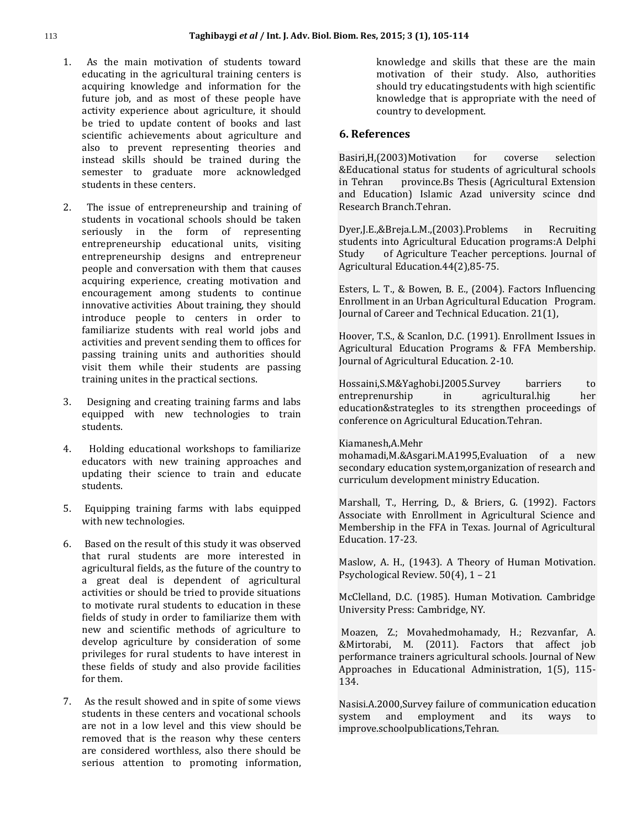- 1. As the main motivation of students toward educating in the agricultural training centers is acquiring knowledge and information for the future job, and as most of these people have activity experience about agriculture, it should be tried to update content of books and last scientific achievements about agriculture and also to prevent representing theories and instead skills should be trained during the semester to graduate more acknowledged students in these centers.
- 2. The issue of entrepreneurship and training of students in vocational schools should be taken seriously in the form of representing entrepreneurship educational units, visiting entrepreneurship designs and entrepreneur people and conversation with them that causes acquiring experience, creating motivation and encouragement among students to continue innovative activities About training, they should introduce people to centers in order to familiarize students with real world jobs and activities and prevent sending them to offices for passing training units and authorities should visit them while their students are passing training unites in the practical sections.
- 3. Designing and creating training farms and labs equipped with new technologies to train students.
- 4. Holding educational workshops to familiarize educators with new training approaches and updating their science to train and educate students.
- 5. Equipping training farms with labs equipped with new technologies.
- 6. Based on the result of this study it was observed that rural students are more interested in agricultural fields, as the future of the country to a great deal is dependent of agricultural activities or should be tried to provide situations to motivate rural students to education in these fields of study in order to familiarize them with new and scientific methods of agriculture to develop agriculture by consideration of some privileges for rural students to have interest in these fields of study and also provide facilities for them.
- 7. As the result showed and in spite of some views students in these centers and vocational schools are not in a low level and this view should be removed that is the reason why these centers are considered worthless, also there should be serious attention to promoting information,

knowledge and skills that these are the main motivation of their study. Also, authorities should try educatingstudents with high scientific knowledge that is appropriate with the need of country to development.

## **6. References**

Basiri,H,(2003)Motivation for coverse selection &Educational status for students of agricultural schools in Tehran province.Bs Thesis (Agricultural Extension and Education) Islamic Azad university scince dnd Research Branch.Tehran.

Dyer,J.E.,&Breja.L.M.,(2003).Problems in Recruiting students into Agricultural Education programs:A Delphi Study of Agriculture Teacher perceptions. Journal of Agricultural Education.44(2),85-75.

Esters, L. T., & Bowen, B. E., (2004). Factors Influencing Enrollment in an Urban Agricultural Education Program. Journal of Career and Technical Education. 21(1),

Hoover, T.S., & Scanlon, D.C. (1991). Enrollment Issues in Agricultural Education Programs & FFA Membership. Journal of Agricultural Education. 2-10.

Hossaini,S.M&Yaghobi.J2005.Survey barriers to entreprenurship in agricultural.hig her education&strategles to its strengthen proceedings of conference on Agricultural Education.Tehran.

## Kiamanesh,A.Mehr

mohamadi,M.&Asgari.M.A1995,Evaluation of a new secondary education system,organization of research and curriculum development ministry Education.

Marshall, T., Herring, D., & Briers, G. (1992). Factors Associate with Enrollment in Agricultural Science and Membership in the FFA in Texas. Journal of Agricultural Education. 17-23.

Maslow, A. H., (1943). A Theory of Human Motivation. Psychological Review. 50(4), 1 – 21

McClelland, D.C. (1985). Human Motivation. Cambridge University Press: Cambridge, NY.

Moazen, Z.; Movahedmohamady, H.; Rezvanfar, A. &Mirtorabi, M. (2011). Factors that affect job performance trainers agricultural schools. Journal of New Approaches in Educational Administration, 1(5), 115- 134.

Nasisi.A.2000,Survey failure of communication education system and employment and its ways to improve.schoolpublications,Tehran.